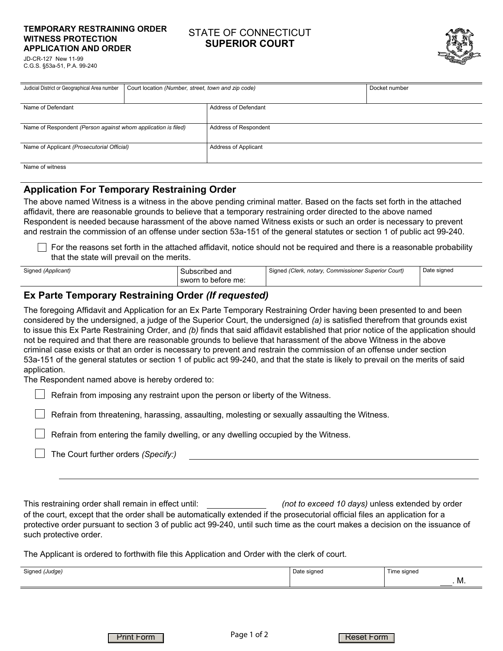#### **TEMPORARY RESTRAINING ORDER WITNESS PROTECTION APPLICATION AND ORDER**

### STATE OF CONNECTICUT **SUPERIOR COURT**



JD-CR-127 New 11-99 C.G.S. §53a-51, P.A. 99-240

| Judicial District or Geographical Area number                 | Court location (Number, street, town and zip code) |                             | Docket number |
|---------------------------------------------------------------|----------------------------------------------------|-----------------------------|---------------|
|                                                               |                                                    |                             |               |
| Name of Defendant                                             |                                                    | <b>Address of Defendant</b> |               |
|                                                               |                                                    |                             |               |
| Name of Respondent (Person against whom application is filed) |                                                    | Address of Respondent       |               |
|                                                               |                                                    |                             |               |
| Name of Applicant (Prosecutorial Official)                    |                                                    | Address of Applicant        |               |
|                                                               |                                                    |                             |               |
| Name of witness                                               |                                                    |                             |               |
|                                                               |                                                    |                             |               |

## **Application For Temporary Restraining Order**

The above named Witness is a witness in the above pending criminal matter. Based on the facts set forth in the attached affidavit, there are reasonable grounds to believe that a temporary restraining order directed to the above named Respondent is needed because harassment of the above named Witness exists or such an order is necessary to prevent and restrain the commission of an offense under section 53a-151 of the general statutes or section 1 of public act 99-240.

For the reasons set forth in the attached affidavit, notice should not be required and there is a reasonable probability that the state will prevail on the merits.

| Signed (Applicant) | Subscribed and<br>sworn to before me: | Signed (Clerk,<br><sup>k</sup> . notary, Commissioner Superior Court) | Date signed |
|--------------------|---------------------------------------|-----------------------------------------------------------------------|-------------|
|--------------------|---------------------------------------|-----------------------------------------------------------------------|-------------|

## **Ex Parte Temporary Restraining Order** *(If requested)*

The foregoing Affidavit and Application for an Ex Parte Temporary Restraining Order having been presented to and been considered by the undersigned, a judge of the Superior Court, the undersigned *(a)* is satisfied therefrom that grounds exist to issue this Ex Parte Restraining Order, and *(b)* finds that said affidavit established that prior notice of the application should not be required and that there are reasonable grounds to believe that harassment of the above Witness in the above criminal case exists or that an order is necessary to prevent and restrain the commission of an offense under section 53a-151 of the general statutes or section 1 of public act 99-240, and that the state is likely to prevail on the merits of said application.

The Respondent named above is hereby ordered to:

 $\Box$  Refrain from imposing any restraint upon the person or liberty of the Witness.

Refrain from threatening, harassing, assaulting, molesting or sexually assaulting the Witness.

Refrain from entering the family dwelling, or any dwelling occupied by the Witness.

The Court further orders *(Specify:)*

This restraining order shall remain in effect until: *(not to exceed 10 days)* unless extended by order of the court, except that the order shall be automatically extended if the prosecutorial official files an application for a protective order pursuant to section 3 of public act 99-240, until such time as the court makes a decision on the issuance of such protective order.

The Applicant is ordered to forthwith file this Application and Order with the clerk of court.

| Signed (Judge) | Date signed | $\overline{\phantom{a}}$<br>Time signed |
|----------------|-------------|-----------------------------------------|
|                |             | . M.                                    |

Print Form Page I or 2 Reset Form